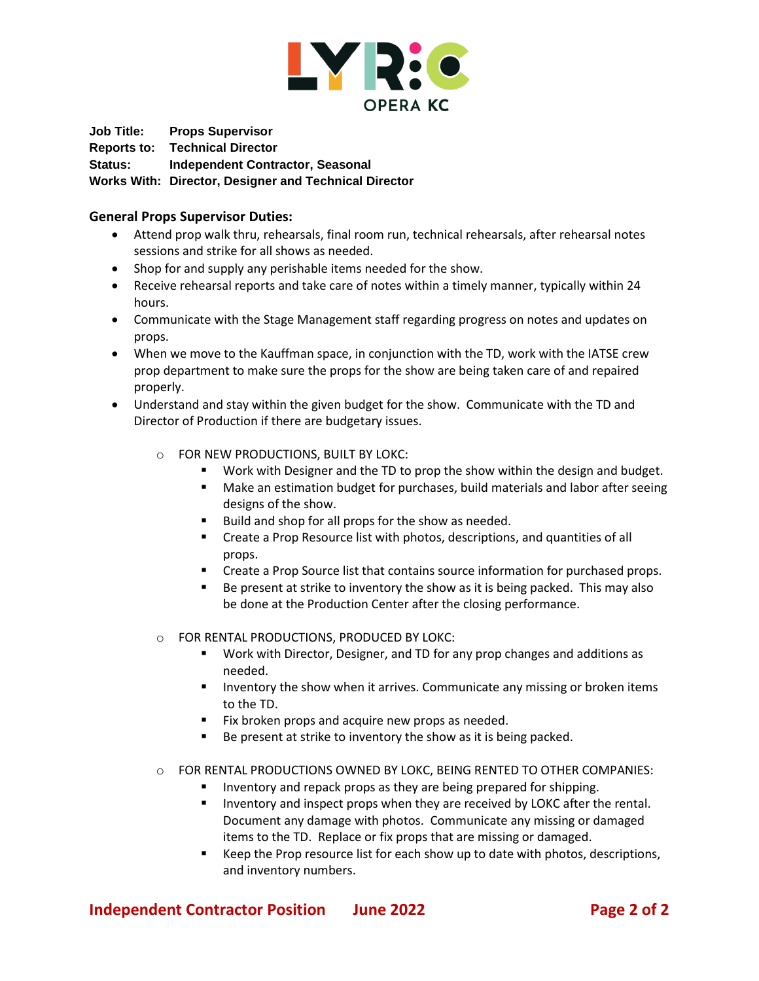

**Job Title: Props Supervisor Reports to: Technical Director Status: Independent Contractor, Seasonal Works With: Director, Designer and Technical Director**

## **General Props Supervisor Duties:**

- Attend prop walk thru, rehearsals, final room run, technical rehearsals, after rehearsal notes sessions and strike for all shows as needed.
- Shop for and supply any perishable items needed for the show.
- Receive rehearsal reports and take care of notes within a timely manner, typically within 24 hours.
- Communicate with the Stage Management staff regarding progress on notes and updates on props.
- When we move to the Kauffman space, in conjunction with the TD, work with the IATSE crew prop department to make sure the props for the show are being taken care of and repaired properly.
- Understand and stay within the given budget for the show. Communicate with the TD and Director of Production if there are budgetary issues.
	- o FOR NEW PRODUCTIONS, BUILT BY LOKC:
		- Work with Designer and the TD to prop the show within the design and budget.
		- Make an estimation budget for purchases, build materials and labor after seeing designs of the show.
		- Build and shop for all props for the show as needed.
		- Create a Prop Resource list with photos, descriptions, and quantities of all props.
		- Create a Prop Source list that contains source information for purchased props.
		- Be present at strike to inventory the show as it is being packed. This may also be done at the Production Center after the closing performance.
	- o FOR RENTAL PRODUCTIONS, PRODUCED BY LOKC:
		- Work with Director, Designer, and TD for any prop changes and additions as needed.
		- **■** Inventory the show when it arrives. Communicate any missing or broken items to the TD.
		- Fix broken props and acquire new props as needed.
		- Be present at strike to inventory the show as it is being packed.
	- o FOR RENTAL PRODUCTIONS OWNED BY LOKC, BEING RENTED TO OTHER COMPANIES:
		- Inventory and repack props as they are being prepared for shipping.
		- Inventory and inspect props when they are received by LOKC after the rental. Document any damage with photos. Communicate any missing or damaged items to the TD. Replace or fix props that are missing or damaged.
		- Keep the Prop resource list for each show up to date with photos, descriptions, and inventory numbers.